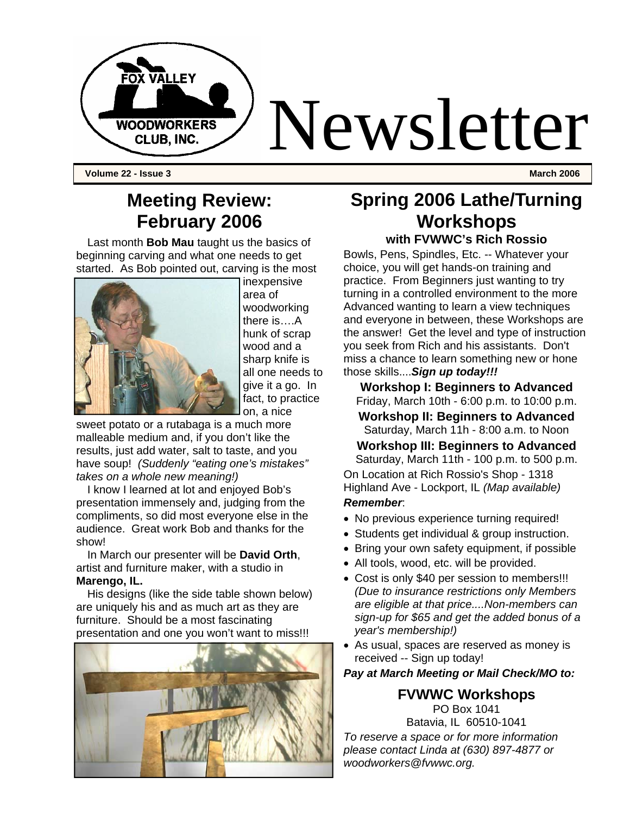

**Volume 22 - Issue 3 March 2006** 

## **Meeting Review: February 2006**

Last month **Bob Mau** taught us the basics of beginning carving and what one needs to get started. As Bob pointed out, carving is the most



inexpensive area of woodworking there is….A hunk of scrap wood and a sharp knife is all one needs to give it a go. In fact, to practice on, a nice

sweet potato or a rutabaga is a much more malleable medium and, if you don't like the results, just add water, salt to taste, and you have soup! *(Suddenly "eating one's mistakes" takes on a whole new meaning!)*

I know I learned at lot and enjoyed Bob's presentation immensely and, judging from the compliments, so did most everyone else in the audience. Great work Bob and thanks for the show!

In March our presenter will be **David Orth**, artist and furniture maker, with a studio in **Marengo, IL.** 

His designs (like the side table shown below) are uniquely his and as much art as they are furniture. Should be a most fascinating presentation and one you won't want to miss!!!



#### **Spring 2006 Lathe/Turning Workshops with FVWWC's Rich Rossio**

Bowls, Pens, Spindles, Etc. -- Whatever your

choice, you will get hands-on training and practice. From Beginners just wanting to try turning in a controlled environment to the more Advanced wanting to learn a view techniques and everyone in between, these Workshops are the answer! Get the level and type of instruction you seek from Rich and his assistants. Don't miss a chance to learn something new or hone those skills....*Sign up today!!!* 

**Workshop I: Beginners to Advanced**  Friday, March 10th - 6:00 p.m. to 10:00 p.m. **Workshop II: Beginners to Advanced** 

Saturday, March 11h - 8:00 a.m. to Noon

**Workshop III: Beginners to Advanced**  Saturday, March 11th - 100 p.m. to 500 p.m. On Location at Rich Rossio's Shop - 1318 Highland Ave - Lockport, IL *(Map available)* 

#### *Remember*:

- No previous experience turning required!
- Students get individual & group instruction.
- Bring your own safety equipment, if possible
- All tools, wood, etc. will be provided.
- Cost is only \$40 per session to members!!! *(Due to insurance restrictions only Members are eligible at that price....Non-members can sign-up for \$65 and get the added bonus of a year's membership!)*
- As usual, spaces are reserved as money is received -- Sign up today!

#### *Pay at March Meeting or Mail Check/MO to:*

#### **FVWWC Workshops**

PO Box 1041 Batavia, IL 60510-1041 *To reserve a space or for more information please contact Linda at (630) 897-4877 or woodworkers@fvwwc.org.*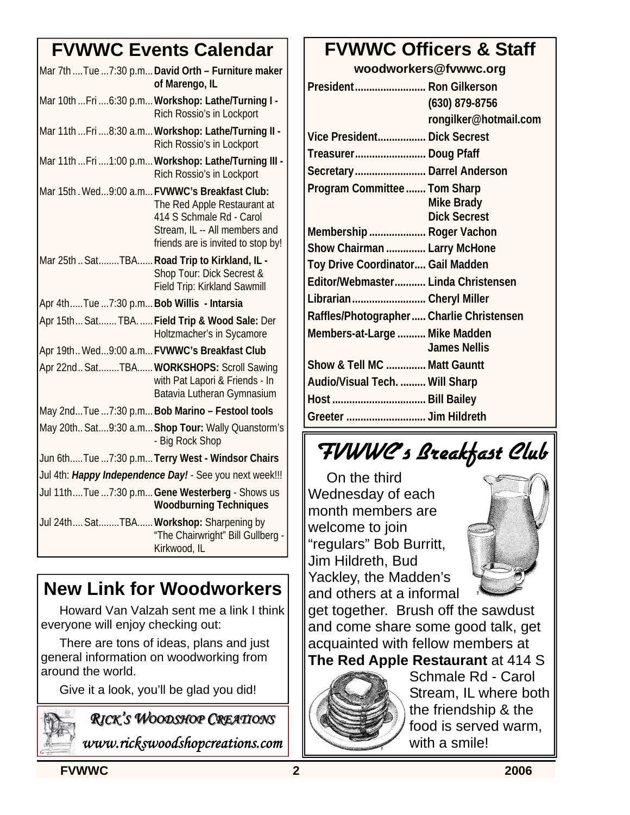## **FVWWC Events Calendar**

|                                                         | Mar 7th  Tue  7:30 p.m David Orth - Furniture maker<br>of Marengo, IL                                                          |
|---------------------------------------------------------|--------------------------------------------------------------------------------------------------------------------------------|
|                                                         | Mar 10th  Fri  6:30 p.m Workshop: Lathe/Turning I -<br>Rich Rossio's in Lockport                                               |
|                                                         | Mar 11th  Fri  8:30 a.m Workshop: Lathe/Turning II -<br>Rich Rossio's in Lockport                                              |
|                                                         | Mar 11th  Fri  1:00 p.m Workshop: Lathe/Turning III -<br>Rich Rossio's in Lockport                                             |
| Mar 15th. Wed9:00 a.m FVWWC's Breakfast Club:           | The Red Apple Restaurant at<br>414 S Schmale Rd - Carol<br>Stream, IL -- All members and<br>friends are is invited to stop by! |
| Mar 25th  SatTBA Road Trip to Kirkland, IL -            | Shop Tour: Dick Secrest &<br>Field Trip: Kirkland Sawmill                                                                      |
| Apr 4thTue 7:30 p.m Bob Willis - Intarsia               |                                                                                                                                |
|                                                         | Apr 15th Sat TBA.  Field Trip & Wood Sale: Der<br>Holtzmacher's in Sycamore                                                    |
| Apr 19th Wed9:00 a.m FVWWC's Breakfast Club             |                                                                                                                                |
|                                                         | Apr 22nd SatTBA WORKSHOPS: Scroll Sawing<br>with Pat Lapori & Friends - In<br>Batavia Lutheran Gymnasium                       |
|                                                         | May 2ndTue 7:30 p.m Bob Marino - Festool tools                                                                                 |
|                                                         | May 20th Sat9:30 a.m Shop Tour: Wally Quanstorm's<br>- Big Rock Shop                                                           |
|                                                         | Jun 6thTue  7:30 p.m Terry West - Windsor Chairs                                                                               |
| Jul 4th: Happy Independence Day! - See you next week!!! |                                                                                                                                |
|                                                         | Jul 11thTue 7:30 p.m Gene Westerberg - Shows us<br><b>Woodburning Techniques</b>                                               |
| Jul 24th SatTBA Workshop: Sharpening by                 | "The Chairwright" Bill Gullberg -<br>Kirkwood, IL                                                                              |

## **New Link for Woodworkers**

Howard Van Valzah sent me a link I think everyone will enjoy checking out:

There are tons of ideas, plans and just general information on woodworking from around the world.

Give it a look, you'll be glad you did!



## *RICK'S WOODSHOP OODSHOP CREATIONS REATIONS*

*www.rickswoodshopcreations.com* 

## **FVWWC Officers & Staff**

**woodworkers@fvwwc.org** 

| President Ron Gilkerson                  |                                          |
|------------------------------------------|------------------------------------------|
|                                          | $(630)$ 879-8756                         |
|                                          | rongilker@hotmail.com                    |
| Vice President Dick Secrest              |                                          |
| Treasurer Doug Pfaff                     |                                          |
| Secretary Darrel Anderson                |                                          |
| Program Committee  Tom Sharp             | <b>Mike Brady</b><br><b>Dick Secrest</b> |
| Membership  Roger Vachon                 |                                          |
| Show Chairman  Larry McHone              |                                          |
| Toy Drive Coordinator Gail Madden        |                                          |
| Editor/Webmaster Linda Christensen       |                                          |
| Librarian Cheryl Miller                  |                                          |
| Raffles/Photographer Charlie Christensen |                                          |
| Members-at-Large  Mike Madden            | <b>James Nellis</b>                      |
| Show & Tell MC  Matt Gauntt              |                                          |
| Audio/Visual Tech.  Will Sharp           |                                          |
| Host  Bill Bailey                        |                                          |
| Greeter  Jim Hildreth                    |                                          |

# FVWWC's Breakfast Club

On the third Wednesday of each month members are welcome to join "regulars" Bob Burritt, Jim Hildreth, Bud Yackley, the Madden's and others at a informal



get together. Brush off the sawdust and come share some good talk, get acquainted with fellow members at **The Red Apple Restaurant** at 414 S



Schmale Rd - Carol Stream, IL where both the friendship & the food is served warm, with a smile!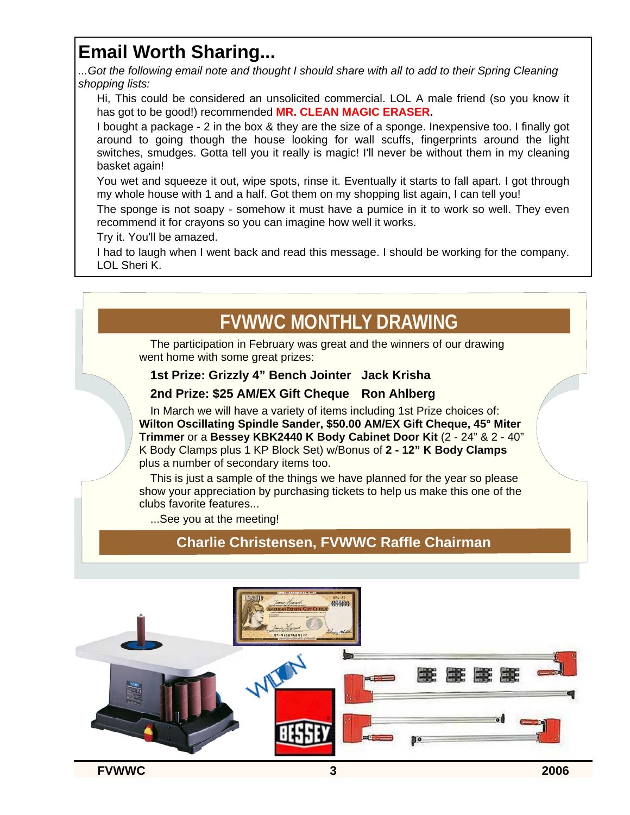## **Email Worth Sharing...**

*...Got the following email note and thought I should share with all to add to their Spring Cleaning shopping lists:* 

Hi, This could be considered an unsolicited commercial. LOL A male friend (so you know it has got to be good!) recommended **MR. CLEAN MAGIC ERASER.**

I bought a package - 2 in the box & they are the size of a sponge. Inexpensive too. I finally got around to going though the house looking for wall scuffs, fingerprints around the light switches, smudges. Gotta tell you it really is magic! I'll never be without them in my cleaning basket again!

You wet and squeeze it out, wipe spots, rinse it. Eventually it starts to fall apart. I got through my whole house with 1 and a half. Got them on my shopping list again, I can tell you!

The sponge is not soapy - somehow it must have a pumice in it to work so well. They even recommend it for crayons so you can imagine how well it works.

Try it. You'll be amazed.

I had to laugh when I went back and read this message. I should be working for the company. LOL Sheri K.

## **FVWWC MONTHLY DRAWING**

The participation in February was great and the winners of our drawing went home with some great prizes:

#### **1st Prize: Grizzly 4" Bench Jointer Jack Krisha**

#### **2nd Prize: \$25 AM/EX Gift Cheque Ron Ahlberg**

In March we will have a variety of items including 1st Prize choices of: **Wilton Oscillating Spindle Sander, \$50.00 AM/EX Gift Cheque, 45° Miter Trimmer** or a **Bessey KBK2440 K Body Cabinet Door Kit** (2 - 24" & 2 - 40" K Body Clamps plus 1 KP Block Set) w/Bonus of **2 - 12" K Body Clamps**  plus a number of secondary items too.

This is just a sample of the things we have planned for the year so please show your appreciation by purchasing tickets to help us make this one of the clubs favorite features...

...See you at the meeting!

#### **Charlie Christensen, FVWWC Raffle Chairman**

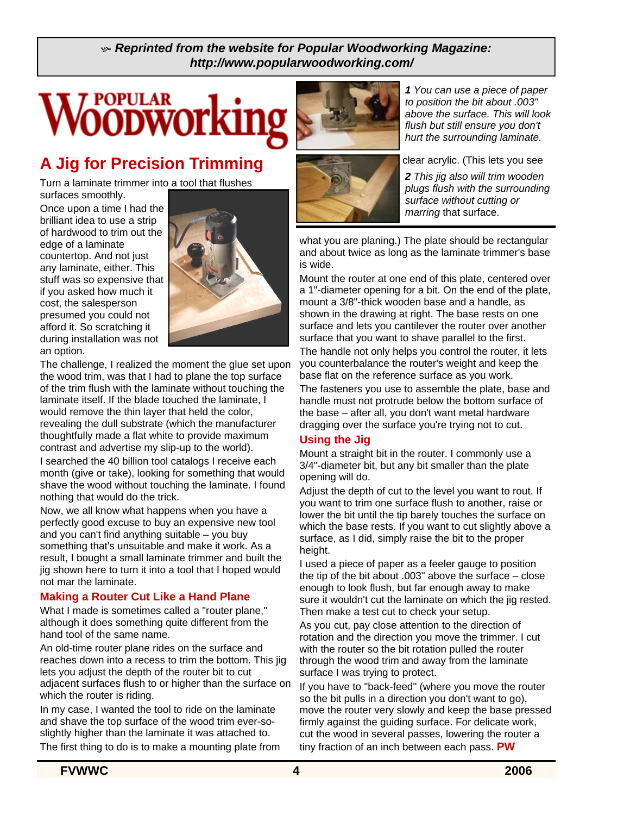#### K *Reprinted from the website for Popular Woodworking Magazine: http://www.popularwoodworking.com/*

## **POPULAR VOODWOrkin**

## **A Jig for Precision Trimming**

Turn a laminate trimmer into a tool that flushes surfaces smoothly.

Once upon a time I had the brilliant idea to use a strip of hardwood to trim out the edge of a laminate countertop. And not just any laminate, either. This stuff was so expensive that if you asked how much it cost, the salesperson presumed you could not afford it. So scratching it during installation was not an option.



The challenge, I realized the moment the glue set upon the wood trim, was that I had to plane the top surface of the trim flush with the laminate without touching the laminate itself. If the blade touched the laminate, I would remove the thin layer that held the color, revealing the dull substrate (which the manufacturer thoughtfully made a flat white to provide maximum contrast and advertise my slip-up to the world).

I searched the 40 billion tool catalogs I receive each month (give or take), looking for something that would shave the wood without touching the laminate. I found nothing that would do the trick.

Now, we all know what happens when you have a perfectly good excuse to buy an expensive new tool and you can't find anything suitable – you buy something that's unsuitable and make it work. As a result, I bought a small laminate trimmer and built the jig shown here to turn it into a tool that I hoped would not mar the laminate.

#### **Making a Router Cut Like a Hand Plane**

What I made is sometimes called a "router plane," although it does something quite different from the hand tool of the same name.

An old-time router plane rides on the surface and reaches down into a recess to trim the bottom. This jig lets you adjust the depth of the router bit to cut adjacent surfaces flush to or higher than the surface on which the router is riding.

In my case, I wanted the tool to ride on the laminate and shave the top surface of the wood trim ever-soslightly higher than the laminate it was attached to. The first thing to do is to make a mounting plate from





*1 You can use a piece of paper to position the bit about .003" above the surface. This will look flush but still ensure you don't hurt the surrounding laminate.* 

clear acrylic. (This lets you see

*2 This jig also will trim wooden plugs flush with the surrounding surface without cutting or marring* that surface.

what you are planing.) The plate should be rectangular and about twice as long as the laminate trimmer's base is wide.

Mount the router at one end of this plate, centered over a 1"-diameter opening for a bit. On the end of the plate, mount a 3/8"-thick wooden base and a handle, as shown in the drawing at right. The base rests on one surface and lets you cantilever the router over another surface that you want to shave parallel to the first.

The handle not only helps you control the router, it lets you counterbalance the router's weight and keep the base flat on the reference surface as you work.

The fasteners you use to assemble the plate, base and handle must not protrude below the bottom surface of the base – after all, you don't want metal hardware dragging over the surface you're trying not to cut.

#### **Using the Jig**

Mount a straight bit in the router. I commonly use a 3/4"-diameter bit, but any bit smaller than the plate opening will do.

Adjust the depth of cut to the level you want to rout. If you want to trim one surface flush to another, raise or lower the bit until the tip barely touches the surface on which the base rests. If you want to cut slightly above a surface, as I did, simply raise the bit to the proper height.

I used a piece of paper as a feeler gauge to position the tip of the bit about .003" above the surface – close enough to look flush, but far enough away to make sure it wouldn't cut the laminate on which the jig rested. Then make a test cut to check your setup.

As you cut, pay close attention to the direction of rotation and the direction you move the trimmer. I cut with the router so the bit rotation pulled the router through the wood trim and away from the laminate surface I was trying to protect.

If you have to "back-feed" (where you move the router so the bit pulls in a direction you don't want to go), move the router very slowly and keep the base pressed firmly against the guiding surface. For delicate work, cut the wood in several passes, lowering the router a tiny fraction of an inch between each pass. **PW**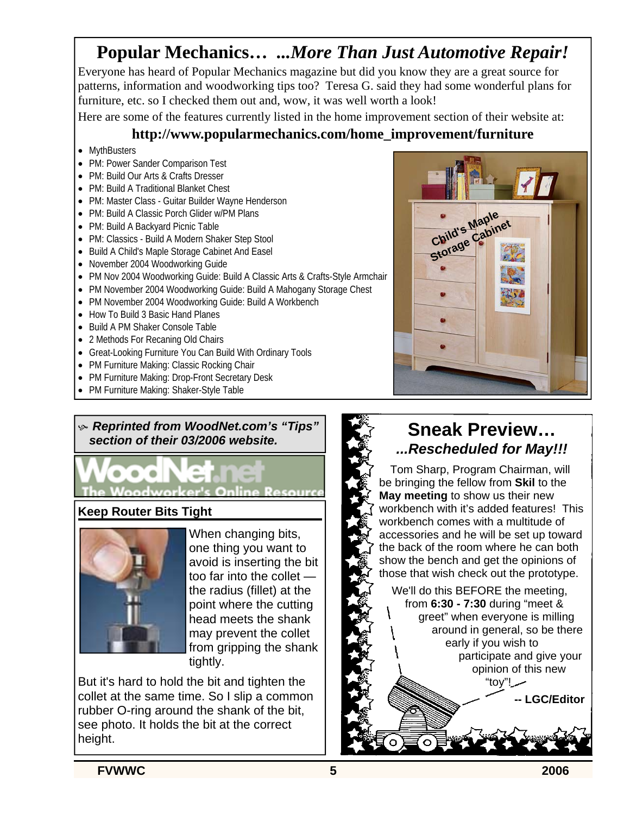## **Popular Mechanics…** *...More Than Just Automotive Repair!*

Everyone has heard of Popular Mechanics magazine but did you know they are a great source for patterns, information and woodworking tips too? Teresa G. said they had some wonderful plans for furniture, etc. so I checked them out and, wow, it was well worth a look!

Here are some of the features currently listed in the home improvement section of their website at:

#### **http://www.popularmechanics.com/home\_improvement/furniture**

- MythBusters
- PM: Power Sander Comparison Test
- PM: Build Our Arts & Crafts Dresser
- PM: Build A Traditional Blanket Chest
- PM: Master Class Guitar Builder Wayne Henderson
- PM: Build A Classic Porch Glider w/PM Plans
- PM: Build A Backyard Picnic Table
- PM: Classics Build A Modern Shaker Step Stool
- Build A Child's Maple Storage Cabinet And Easel
- November 2004 Woodworking Guide
- PM Nov 2004 Woodworking Guide: Build A Classic Arts & Crafts-Style Armchair
- PM November 2004 Woodworking Guide: Build A Mahogany Storage Chest
- PM November 2004 Woodworking Guide: Build A Workbench
- How To Build 3 Basic Hand Planes
- Build A PM Shaker Console Table
- 2 Methods For Recaning Old Chairs
- Great-Looking Furniture You Can Build With Ordinary Tools
- PM Furniture Making: Classic Rocking Chair
- PM Furniture Making: Drop-Front Secretary Desk
- PM Furniture Making: Shaker-Style Table

#### K *Reprinted from WoodNet.com's "Tips" section of their 03/2006 website.*

**Woodworker's Online Resource** 

#### **Keep Router Bits Tight**



When changing bits, one thing you want to avoid is inserting the bit too far into the collet the radius (fillet) at the point where the cutting head meets the shank may prevent the collet from gripping the shank tightly.

But it's hard to hold the bit and tighten the collet at the same time. So I slip a common rubber O-ring around the shank of the bit, see photo. It holds the bit at the correct height.



### **Sneak Preview…**  *...Rescheduled for May!!!*

Tom Sharp, Program Chairman, will be bringing the fellow from **Skil** to the **May meeting** to show us their new workbench with it's added features! This workbench comes with a multitude of accessories and he will be set up toward the back of the room where he can both show the bench and get the opinions of those that wish check out the prototype.

We'll do this BEFORE the meeting, from **6:30 - 7:30** during "meet & greet" when everyone is milling around in general, so be there early if you wish to participate and give your opinion of this new "toy"!

**LGC/Editor**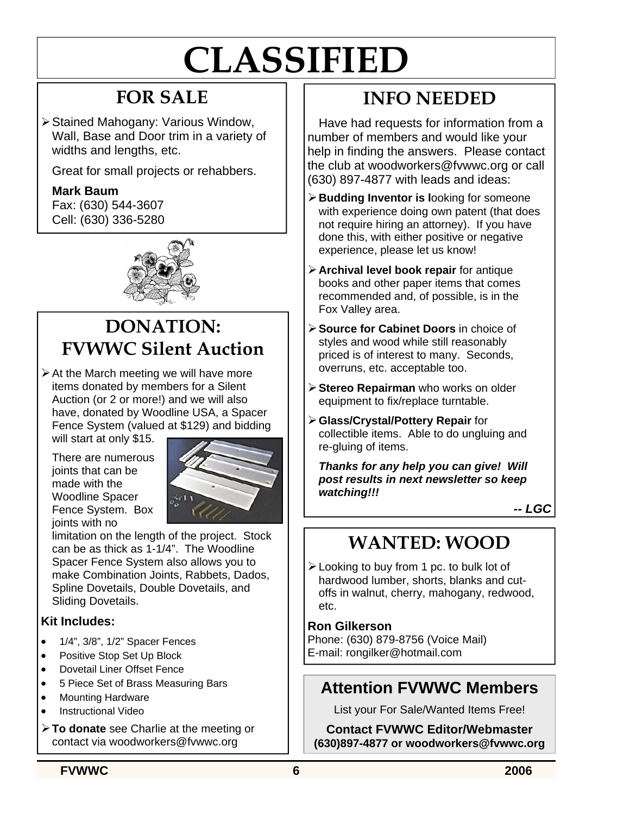# **CLASSIFIED**

## **FOR SALE**

¾ Stained Mahogany: Various Window, Wall, Base and Door trim in a variety of widths and lengths, etc.

Great for small projects or rehabbers.

#### **Mark Baum**

Fax: (630) 544-3607 Cell: (630) 336-5280



## **DONATION: FVWWC Silent Auction**

 $\triangleright$  At the March meeting we will have more items donated by members for a Silent Auction (or 2 or more!) and we will also have, donated by Woodline USA, a Spacer Fence System (valued at \$129) and bidding

will start at only \$15.

There are numerous joints that can be made with the Woodline Spacer Fence System. Box joints with no



limitation on the length of the project. Stock can be as thick as 1-1/4". The Woodline Spacer Fence System also allows you to make Combination Joints, Rabbets, Dados, Spline Dovetails, Double Dovetails, and Sliding Dovetails.

#### **Kit Includes:**

- 1/4", 3/8", 1/2" Spacer Fences
- Positive Stop Set Up Block
- Dovetail Liner Offset Fence
- 5 Piece Set of Brass Measuring Bars
- Mounting Hardware
- Instructional Video
- ¾ **To donate** see Charlie at the meeting or contact via woodworkers@fvwwc.org

## **INFO NEEDED**

Have had requests for information from a number of members and would like your help in finding the answers. Please contact the club at woodworkers@fvwwc.org or call (630) 897-4877 with leads and ideas:

- ¾ **Budding Inventor is l**ooking for someone with experience doing own patent (that does not require hiring an attorney). If you have done this, with either positive or negative experience, please let us know!
- ¾ **Archival level book repair** for antique books and other paper items that comes recommended and, of possible, is in the Fox Valley area.
- ¾ **Source for Cabinet Doors** in choice of styles and wood while still reasonably priced is of interest to many. Seconds, overruns, etc. acceptable too.
- ¾ **Stereo Repairman** who works on older equipment to fix/replace turntable.
- ¾ **Glass/Crystal/Pottery Repair** for collectible items. Able to do ungluing and re-gluing of items.

*Thanks for any help you can give! Will post results in next newsletter so keep watching!!!* 

*-- LGC*

## **WANTED: WOOD**

¾ Looking to buy from 1 pc. to bulk lot of hardwood lumber, shorts, blanks and cutoffs in walnut, cherry, mahogany, redwood, etc.

#### **Ron Gilkerson**

Phone: (630) 879-8756 (Voice Mail) E-mail: rongilker@hotmail.com

## **Attention FVWWC Members**

List your For Sale/Wanted Items Free!

**Contact FVWWC Editor/Webmaster (630)897-4877 or woodworkers@fvwwc.org**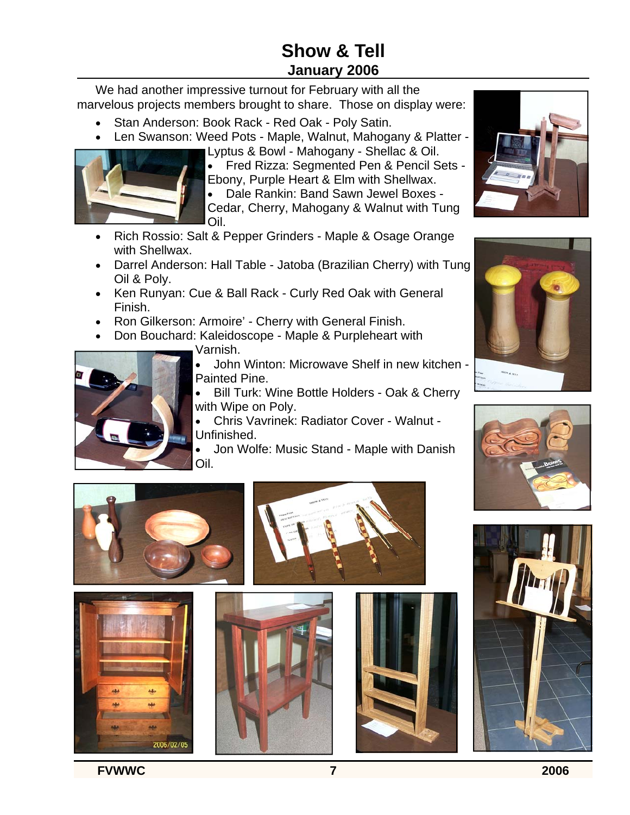## **Show & Tell January 2006**

We had another impressive turnout for February with all the marvelous projects members brought to share. Those on display were:

- Stan Anderson: Book Rack Red Oak Poly Satin.
- Len Swanson: Weed Pots Maple, Walnut, Mahogany & Platter -



Lyptus & Bowl - Mahogany - Shellac & Oil. • Fred Rizza: Segmented Pen & Pencil Sets - Ebony, Purple Heart & Elm with Shellwax.

• Dale Rankin: Band Sawn Jewel Boxes - Cedar, Cherry, Mahogany & Walnut with Tung Oil.

- Rich Rossio: Salt & Pepper Grinders Maple & Osage Orange with Shellwax.
- Darrel Anderson: Hall Table Jatoba (Brazilian Cherry) with Tung Oil & Poly.
- Ken Runyan: Cue & Ball Rack Curly Red Oak with General Finish.
- Ron Gilkerson: Armoire' Cherry with General Finish.
- Don Bouchard: Kaleidoscope Maple & Purpleheart with
	- Varnish.



• Bill Turk: Wine Bottle Holders - Oak & Cherry with Wipe on Poly.

• Chris Vavrinek: Radiator Cover - Walnut - Unfinished.

• Jon Wolfe: Music Stand - Maple with Danish Oil.





2006/02/05













**FVWWC 7 2006**